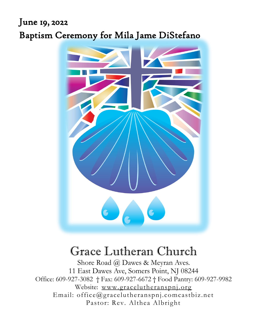June 19, 2022 Baptism Ceremony for Mila Jame DiStefano



# Grace Lutheran Church

Shore Road @ Dawes & Meyran Aves. 11 East Dawes Ave, Somers Point, NJ 08244 Office: 609-927-3082 † Fax: 609-927-6672 † Food Pantry: 609-927-9982 Website: www.gracelutheranspnj.org Email: office@gracelutheranspnj.comcastbiz.net Pastor: Rev. Althea Albright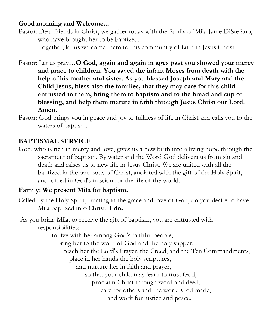#### **Good morning and Welcome...**

Pastor: Dear friends in Christ, we gather today with the family of Mila Jame DiStefano, who have brought her to be baptized.

Together, let us welcome them to this community of faith in Jesus Christ.

- Pastor: Let us pray…**O God, again and again in ages past you showed your mercy and grace to children. You saved the infant Moses from death with the help of his mother and sister. As you blessed Joseph and Mary and the Child Jesus, bless also the families, that they may care for this child entrusted to them, bring them to baptism and to the bread and cup of blessing, and help them mature in faith through Jesus Christ our Lord. Amen.**
- Pastor: God brings you in peace and joy to fullness of life in Christ and calls you to the waters of baptism.

## **BAPTISMAL SERVICE**

God, who is rich in mercy and love, gives us a new birth into a living hope through the sacrament of baptism. By water and the Word God delivers us from sin and death and raises us to new life in Jesus Christ. We are united with all the baptized in the one body of Christ, anointed with the gift of the Holy Spirit, and joined in God's mission for the life of the world.

#### **Family: We present Mila for baptism.**

Called by the Holy Spirit, trusting in the grace and love of God, do you desire to have Mila baptized into Christ? **I do.**

As you bring Mila, to receive the gift of baptism, you are entrusted with responsibilities:

> to live with her among God's faithful people, bring her to the word of God and the holy supper, teach her the Lord's Prayer, the Creed, and the Ten Commandments, place in her hands the holy scriptures, and nurture her in faith and prayer, so that your child may learn to trust God, proclaim Christ through word and deed, care for others and the world God made, and work for justice and peace.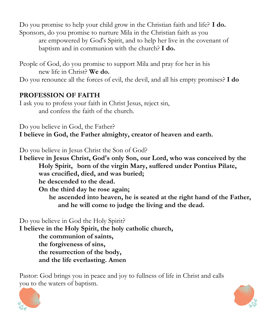Do you promise to help your child grow in the Christian faith and life? **I do.** Sponsors, do you promise to nurture Mila in the Christian faith as you are empowered by God's Spirit, and to help her live in the covenant of baptism and in communion with the church? **I do.** 

People of God, do you promise to support Mila and pray for her in his new life in Christ? **We do.** Do you renounce all the forces of evil, the devil, and all his empty promises? **I do**

#### **PROFESSION OF FAITH**

I ask you to profess your faith in Christ Jesus, reject sin, and confess the faith of the church.

Do you believe in God, the Father? **I believe in God, the Father almighty, creator of heaven and earth.**

Do you believe in Jesus Christ the Son of God?

**I believe in Jesus Christ, God's only Son, our Lord, who was conceived by the Holy Spirit, born of the virgin Mary, suffered under Pontius Pilate, was crucified, died, and was buried; he descended to the dead. On the third day he rose again;** 

 **he ascended into heaven, he is seated at the right hand of the Father, and he will come to judge the living and the dead.**

Do you believe in God the Holy Spirit?

**I believe in the Holy Spirit, the holy catholic church, the communion of saints, the forgiveness of sins, the resurrection of the body, and the life everlasting. Amen**

Pastor: God brings you in peace and joy to fullness of life in Christ and calls you to the waters of baptism.